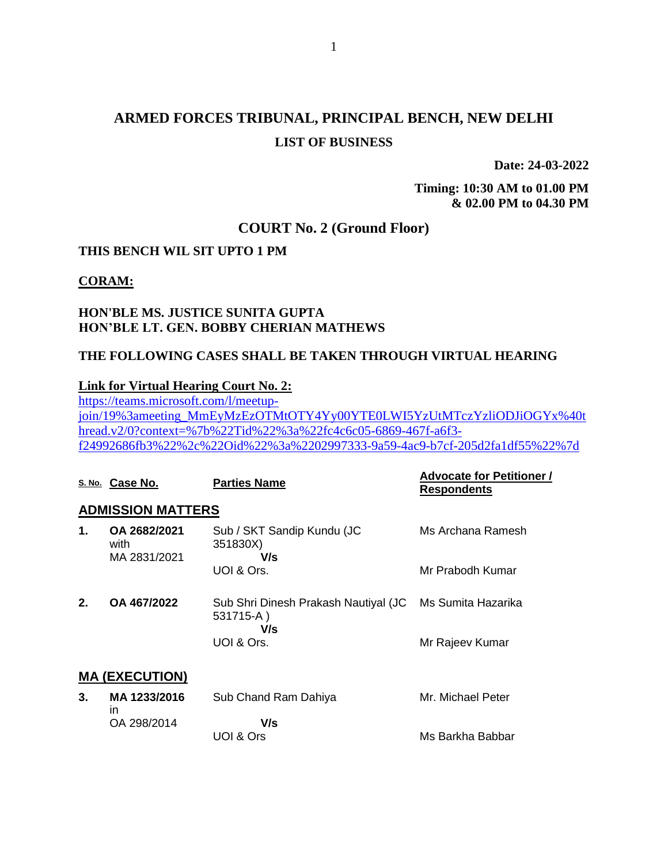# **ARMED FORCES TRIBUNAL, PRINCIPAL BENCH, NEW DELHI LIST OF BUSINESS**

1

**Date: 24-03-2022**

**Timing: 10:30 AM to 01.00 PM & 02.00 PM to 04.30 PM**

Ms Barkha Babbar

# **COURT No. 2 (Ground Floor)**

### **THIS BENCH WIL SIT UPTO 1 PM**

#### **CORAM:**

## **HON'BLE MS. JUSTICE SUNITA GUPTA HON'BLE LT. GEN. BOBBY CHERIAN MATHEWS**

UOI & Ors

## **THE FOLLOWING CASES SHALL BE TAKEN THROUGH VIRTUAL HEARING**

### **Link for Virtual Hearing Court No. 2:**

[https://teams.microsoft.com/l/meetup](https://teams.microsoft.com/l/meetup-join/19%3ameeting_MmEyMzEzOTMtOTY4Yy00YTE0LWI5YzUtMTczYzliODJiOGYx%40thread.v2/0?context=%7b%22Tid%22%3a%22fc4c6c05-6869-467f-a6f3-f24992686fb3%22%2c%22Oid%22%3a%2202997333-9a59-4ac9-b7cf-205d2fa1df55%22%7d)[join/19%3ameeting\\_MmEyMzEzOTMtOTY4Yy00YTE0LWI5YzUtMTczYzliODJiOGYx%40t](https://teams.microsoft.com/l/meetup-join/19%3ameeting_MmEyMzEzOTMtOTY4Yy00YTE0LWI5YzUtMTczYzliODJiOGYx%40thread.v2/0?context=%7b%22Tid%22%3a%22fc4c6c05-6869-467f-a6f3-f24992686fb3%22%2c%22Oid%22%3a%2202997333-9a59-4ac9-b7cf-205d2fa1df55%22%7d) [hread.v2/0?context=%7b%22Tid%22%3a%22fc4c6c05-6869-467f-a6f3](https://teams.microsoft.com/l/meetup-join/19%3ameeting_MmEyMzEzOTMtOTY4Yy00YTE0LWI5YzUtMTczYzliODJiOGYx%40thread.v2/0?context=%7b%22Tid%22%3a%22fc4c6c05-6869-467f-a6f3-f24992686fb3%22%2c%22Oid%22%3a%2202997333-9a59-4ac9-b7cf-205d2fa1df55%22%7d) [f24992686fb3%22%2c%22Oid%22%3a%2202997333-9a59-4ac9-b7cf-205d2fa1df55%22%7d](https://teams.microsoft.com/l/meetup-join/19%3ameeting_MmEyMzEzOTMtOTY4Yy00YTE0LWI5YzUtMTczYzliODJiOGYx%40thread.v2/0?context=%7b%22Tid%22%3a%22fc4c6c05-6869-467f-a6f3-f24992686fb3%22%2c%22Oid%22%3a%2202997333-9a59-4ac9-b7cf-205d2fa1df55%22%7d)

|    | S. No. Case No.                      | <b>Parties Name</b>                                      | <b>Advocate for Petitioner /</b><br><b>Respondents</b> |
|----|--------------------------------------|----------------------------------------------------------|--------------------------------------------------------|
|    | <b>ADMISSION MATTERS</b>             |                                                          |                                                        |
| 1. | OA 2682/2021<br>with<br>MA 2831/2021 | Sub / SKT Sandip Kundu (JC<br>351830X)<br>V/s            | Ms Archana Ramesh                                      |
|    |                                      | UOI & Ors.                                               | Mr Prabodh Kumar                                       |
| 2. | OA 467/2022                          | Sub Shri Dinesh Prakash Nautiyal (JC<br>531715-A)<br>V/s | Ms Sumita Hazarika                                     |
|    |                                      | UOI & Ors.                                               | Mr Rajeev Kumar                                        |
|    | <b>MA (EXECUTION)</b>                |                                                          |                                                        |
| 3. | MA 1233/2016<br>in.                  | Sub Chand Ram Dahiya                                     | Mr. Michael Peter                                      |
|    | OA 298/2014                          | V/s                                                      |                                                        |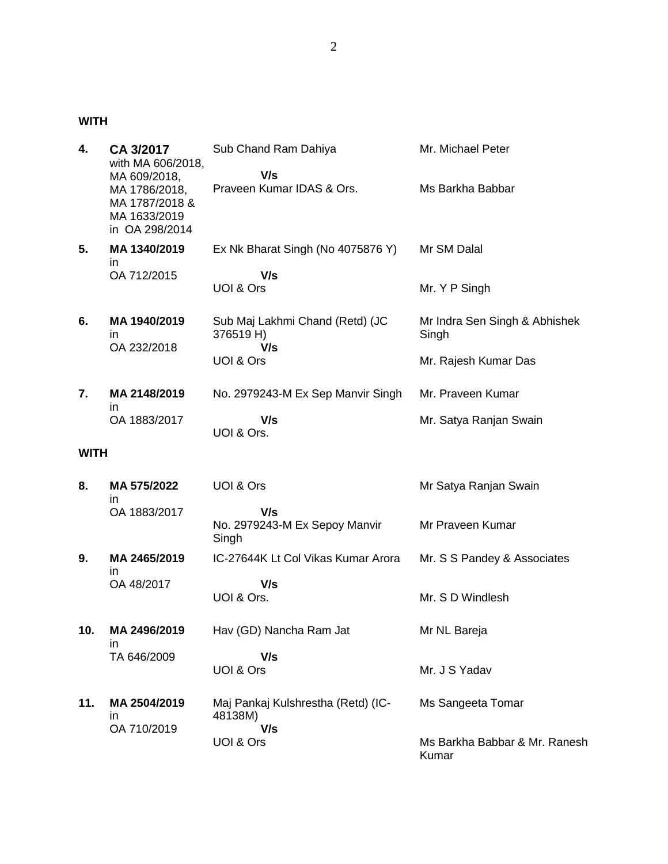**WITH**

| 4.          | CA 3/2017<br>with MA 606/2018,<br>MA 609/2018,                    | Sub Chand Ram Dahiya<br>V/s                         | Mr. Michael Peter                      |
|-------------|-------------------------------------------------------------------|-----------------------------------------------------|----------------------------------------|
|             | MA 1786/2018,<br>MA 1787/2018 &<br>MA 1633/2019<br>in OA 298/2014 | Praveen Kumar IDAS & Ors.                           | Ms Barkha Babbar                       |
| 5.          | MA 1340/2019<br>ın                                                | Ex Nk Bharat Singh (No 4075876 Y)                   | Mr SM Dalal                            |
|             | OA 712/2015                                                       | V/s<br>UOI & Ors                                    | Mr. Y P Singh                          |
| 6.          | MA 1940/2019<br>in.<br>OA 232/2018                                | Sub Maj Lakhmi Chand (Retd) (JC<br>376519 H)<br>V/s | Mr Indra Sen Singh & Abhishek<br>Singh |
|             |                                                                   | UOI & Ors                                           | Mr. Rajesh Kumar Das                   |
| 7.          | MA 2148/2019<br>ın                                                | No. 2979243-M Ex Sep Manvir Singh                   | Mr. Praveen Kumar                      |
|             | OA 1883/2017                                                      | V/s<br>UOI & Ors.                                   | Mr. Satya Ranjan Swain                 |
| <b>WITH</b> |                                                                   |                                                     |                                        |
| 8.          | MA 575/2022<br>in.                                                | UOI & Ors                                           | Mr Satya Ranjan Swain                  |
|             | OA 1883/2017                                                      | V/s<br>No. 2979243-M Ex Sepoy Manvir<br>Singh       | Mr Praveen Kumar                       |
| 9.          | MA 2465/2019<br>in.                                               | IC-27644K Lt Col Vikas Kumar Arora                  | Mr. S S Pandey & Associates            |
|             | OA 48/2017                                                        | V/s<br>UOI & Ors.                                   | Mr. S D Windlesh                       |
| 10.         | MA 2496/2019<br>ın                                                | Hav (GD) Nancha Ram Jat                             | Mr NL Bareja                           |
|             | TA 646/2009                                                       | V/s<br>UOI & Ors                                    | Mr. J S Yadav                          |
| 11.         | MA 2504/2019<br>ın                                                | Maj Pankaj Kulshrestha (Retd) (IC-<br>48138M)       | Ms Sangeeta Tomar                      |
|             | OA 710/2019                                                       | V/s<br>UOI & Ors                                    | Ms Barkha Babbar & Mr. Ranesh<br>Kumar |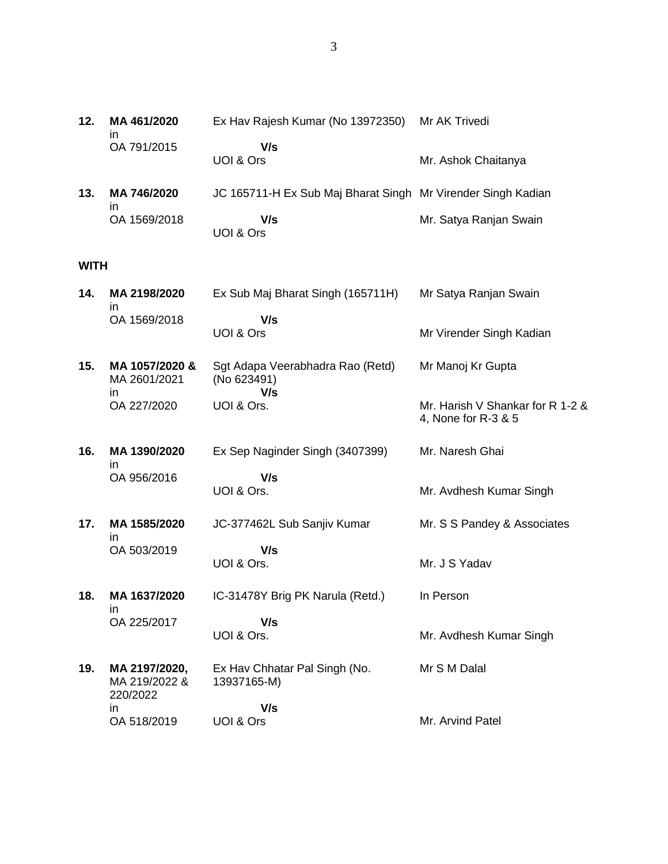| 12.         | MA 461/2020<br>in                          | Ex Hav Rajesh Kumar (No 13972350)                            | Mr AK Trivedi                                           |
|-------------|--------------------------------------------|--------------------------------------------------------------|---------------------------------------------------------|
|             | OA 791/2015                                | V/s<br>UOI & Ors                                             | Mr. Ashok Chaitanya                                     |
| 13.         | MA 746/2020                                | JC 165711-H Ex Sub Maj Bharat Singh Mr Virender Singh Kadian |                                                         |
|             | ın<br>OA 1569/2018                         | V/s<br>UOI & Ors                                             | Mr. Satya Ranjan Swain                                  |
| <b>WITH</b> |                                            |                                                              |                                                         |
| 14.         | MA 2198/2020<br>ın                         | Ex Sub Maj Bharat Singh (165711H)                            | Mr Satya Ranjan Swain                                   |
|             | OA 1569/2018                               | V/s<br>UOI & Ors                                             | Mr Virender Singh Kadian                                |
| 15.         | MA 1057/2020 &<br>MA 2601/2021             | Sgt Adapa Veerabhadra Rao (Retd)<br>(No 623491)              | Mr Manoj Kr Gupta                                       |
|             | in.<br>OA 227/2020                         | V/s<br>UOI & Ors.                                            | Mr. Harish V Shankar for R 1-2 &<br>4, None for R-3 & 5 |
| 16.         | MA 1390/2020                               | Ex Sep Naginder Singh (3407399)                              | Mr. Naresh Ghai                                         |
|             | ın<br>OA 956/2016                          | V/s<br>UOI & Ors.                                            | Mr. Avdhesh Kumar Singh                                 |
| 17.         | MA 1585/2020                               | JC-377462L Sub Sanjiv Kumar                                  | Mr. S S Pandey & Associates                             |
|             | in<br>OA 503/2019                          | V/s<br>UOI & Ors.                                            | Mr. J S Yadav                                           |
| 18.         | MA 1637/2020<br>ın                         | IC-31478Y Brig PK Narula (Retd.)                             | In Person                                               |
|             | OA 225/2017                                | V/s<br>UOI & Ors.                                            | Mr. Avdhesh Kumar Singh                                 |
| 19.         | MA 2197/2020,<br>MA 219/2022 &<br>220/2022 | Ex Hav Chhatar Pal Singh (No.<br>13937165-M)                 | Mr S M Dalal                                            |
|             | in                                         | V/s                                                          |                                                         |

Mr. Arvind Patel

OA 518/2019 UOI & Ors

3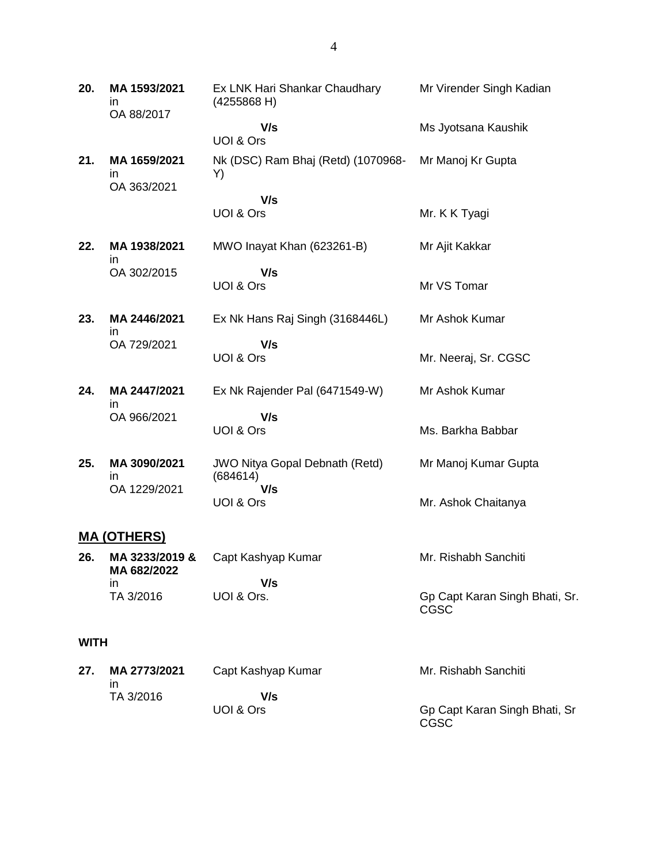**20. MA 1593/2021** in OA 88/2017 Ex LNK Hari Shankar Chaudhary (4255868 H)  **V/s** UOI & Ors Mr Virender Singh Kadian Ms Jyotsana Kaushik **21. MA 1659/2021** in OA 363/2021 Nk (DSC) Ram Bhaj (Retd) (1070968- Y)  **V/s** UOI & Ors Mr Manoj Kr Gupta Mr. K K Tyagi **22. MA 1938/2021** in OA 302/2015 MWO Inayat Khan (623261-B)  **V/s** UOI & Ors Mr Ajit Kakkar Mr VS Tomar **23. MA 2446/2021** in OA 729/2021 Ex Nk Hans Raj Singh (3168446L)  **V/s** UOI & Ors Mr Ashok Kumar Mr. Neeraj, Sr. CGSC **24. MA 2447/2021** in OA 966/2021 Ex Nk Rajender Pal (6471549-W)  **V/s** UOI & Ors Mr Ashok Kumar Ms. Barkha Babbar **25. MA 3090/2021** in OA 1229/2021 JWO Nitya Gopal Debnath (Retd) (684614)  **V/s** UOI & Ors Mr Manoj Kumar Gupta Mr. Ashok Chaitanya **MA (OTHERS) 26. MA 3233/2019 & MA 682/2022** in TA 3/2016 Capt Kashyap Kumar  **V/s** UOI & Ors. Mr. Rishabh Sanchiti Gp Capt Karan Singh Bhati, Sr.

#### **WITH**

| 27. | MA 2773/2021<br>ın | Capt Kashyap Kumar | Mr. Rishabh Sanchiti                  |
|-----|--------------------|--------------------|---------------------------------------|
|     | TA 3/2016          | V/s                |                                       |
|     |                    | UOI & Ors          | Gp Capt Karan Singh Bhati, Sr<br>CGSC |

CGSC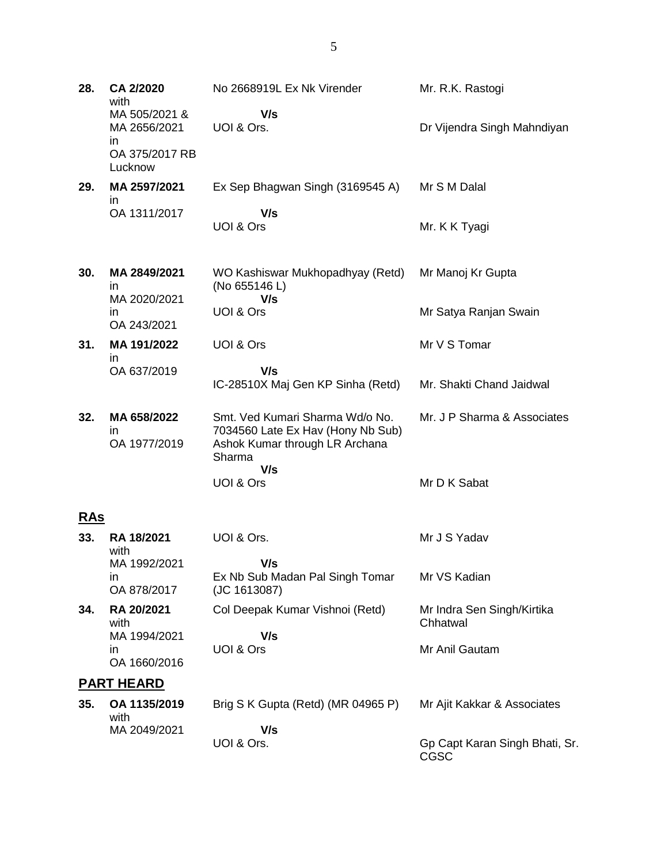Mr. R.K. Rastogi

 **V/s**

MA 2656/2021 in OA 375/2017 RB Lucknow UOI & Ors. Dr Vijendra Singh Mahndiyan **29. MA 2597/2021** in OA 1311/2017 Ex Sep Bhagwan Singh (3169545 A)  **V/s** UOI & Ors Mr S M Dalal Mr. K K Tyagi **30. MA 2849/2021** in MA 2020/2021 in OA 243/2021 WO Kashiswar Mukhopadhyay (Retd) (No 655146 L)  **V/s** UOI & Ors Mr Manoj Kr Gupta Mr Satya Ranjan Swain **31. MA 191/2022** in OA 637/2019 UOI & Ors  **V/s** IC-28510X Maj Gen KP Sinha (Retd) Mr V S Tomar Mr. Shakti Chand Jaidwal **32. MA 658/2022** in OA 1977/2019 Smt. Ved Kumari Sharma Wd/o No. 7034560 Late Ex Hav (Hony Nb Sub) Ashok Kumar through LR Archana Sharma  **V/s** UOI & Ors Mr. J P Sharma & Associates Mr D K Sabat **RAs 33. RA 18/2021** with MA 1992/2021 in UOI & Ors.  **V/s** Ex Nb Sub Madan Pal Singh Tomar Mr J S Yadav Mr VS Kadian

OA 878/2017 (JC 1613087) **34. RA 20/2021** with MA 1994/2021 in OA 1660/2016 Col Deepak Kumar Vishnoi (Retd)  **V/s** UOI & Ors Mr Indra Sen Singh/Kirtika Chhatwal Mr Anil Gautam **PART HEARD 35. OA 1135/2019** with Brig S K Gupta (Retd) (MR 04965 P) Mr Ajit Kakkar & Associates

> **V/s** UOI & Ors.

MA 2049/2021

Gp Capt Karan Singh Bhati, Sr. CGSC

**28. CA 2/2020** with

MA 505/2021 &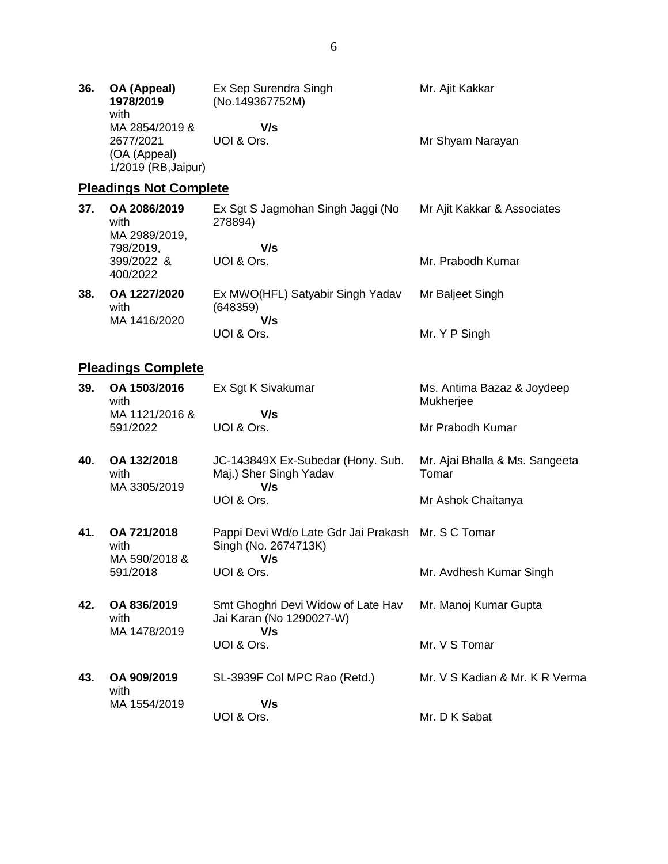| 36. | OA (Appeal)<br>1978/2019<br>with    | Ex Sep Surendra Singh<br>(No.149367752M) | Mr. Ajit Kakkar  |
|-----|-------------------------------------|------------------------------------------|------------------|
|     | MA 2854/2019 &<br>2677/2021         | V/s<br>UOI & Ors.                        | Mr Shyam Narayan |
|     | (OA (Appeal)<br>1/2019 (RB, Jaipur) |                                          |                  |

# **Pleadings Not Complete**

| 37. | OA 2086/2019<br>with<br>MA 2989/2019, | Ex Sgt S Jagmohan Singh Jaggi (No<br>278894)        | Mr Ajit Kakkar & Associates |
|-----|---------------------------------------|-----------------------------------------------------|-----------------------------|
|     | 798/2019,<br>399/2022 &<br>400/2022   | V/s<br>UOI & Ors.                                   | Mr. Prabodh Kumar           |
| 38. | OA 1227/2020<br>with<br>MA 1416/2020  | Ex MWO(HFL) Satyabir Singh Yadav<br>(648359)<br>V/s | Mr Baljeet Singh            |
|     |                                       | UOI & Ors.                                          | Mr. Y P Singh               |

# **Pleadings Complete**

| 39. | OA 1503/2016<br>with                 | Ex Sgt K Sivakumar                                                                | Ms. Antima Bazaz & Joydeep<br>Mukherjee |
|-----|--------------------------------------|-----------------------------------------------------------------------------------|-----------------------------------------|
|     | MA 1121/2016 &<br>591/2022           | V/s<br>UOI & Ors.                                                                 | Mr Prabodh Kumar                        |
| 40. | OA 132/2018<br>with<br>MA 3305/2019  | JC-143849X Ex-Subedar (Hony. Sub.<br>Maj.) Sher Singh Yadav<br>V/s                | Mr. Ajai Bhalla & Ms. Sangeeta<br>Tomar |
|     |                                      | UOI & Ors.                                                                        | Mr Ashok Chaitanya                      |
| 41. | OA 721/2018<br>with<br>MA 590/2018 & | Pappi Devi Wd/o Late Gdr Jai Prakash Mr. S C Tomar<br>Singh (No. 2674713K)<br>V/s |                                         |
|     | 591/2018                             | UOI & Ors.                                                                        | Mr. Avdhesh Kumar Singh                 |
| 42. | OA 836/2019<br>with<br>MA 1478/2019  | Smt Ghoghri Devi Widow of Late Hav<br>Jai Karan (No 1290027-W)<br>V/s             | Mr. Manoj Kumar Gupta                   |
|     |                                      | UOI & Ors.                                                                        | Mr. V S Tomar                           |
| 43. | OA 909/2019<br>with                  | SL-3939F Col MPC Rao (Retd.)                                                      | Mr. V S Kadian & Mr. K R Verma          |
|     | MA 1554/2019                         | V/s<br>UOI & Ors.                                                                 | Mr. D K Sabat                           |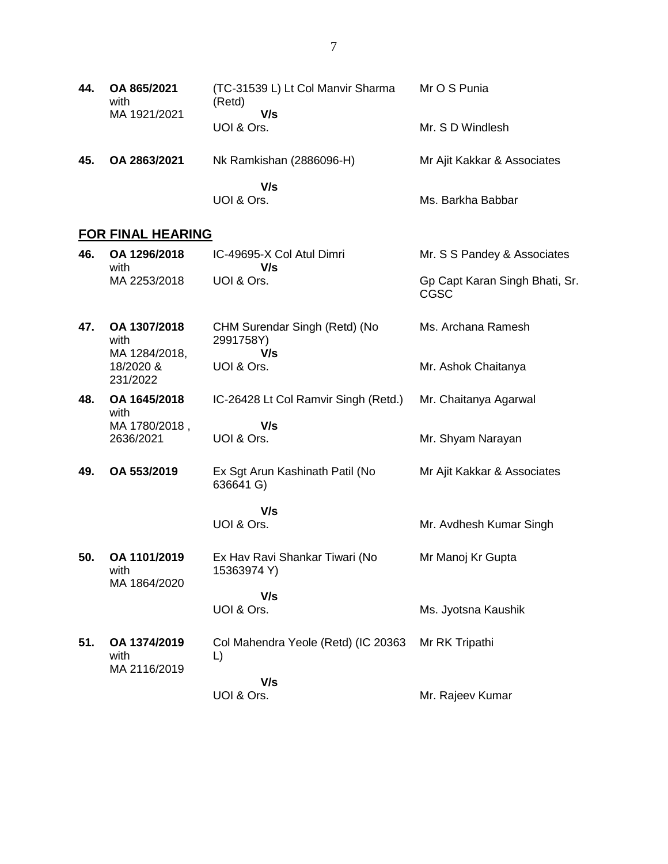| 44. | OA 865/2021<br>with<br>MA 1921/2021 | (TC-31539 L) Lt Col Manvir Sharma<br>(Retd)<br>V/s<br>UOI & Ors. | Mr O S Punia<br>Mr. S D Windlesh |
|-----|-------------------------------------|------------------------------------------------------------------|----------------------------------|
| 45. | OA 2863/2021                        | Nk Ramkishan (2886096-H)                                         | Mr Ajit Kakkar & Associates      |
|     |                                     | V/s<br>UOI & Ors.                                                | Ms. Barkha Babbar                |

# **FOR FINAL HEARING**

| 46. | OA 1296/2018<br>with                  | IC-49695-X Col Atul Dimri<br>V/s                  | Mr. S S Pandey & Associates                   |
|-----|---------------------------------------|---------------------------------------------------|-----------------------------------------------|
|     | MA 2253/2018                          | UOI & Ors.                                        | Gp Capt Karan Singh Bhati, Sr.<br><b>CGSC</b> |
| 47. | OA 1307/2018<br>with<br>MA 1284/2018, | CHM Surendar Singh (Retd) (No<br>2991758Y)<br>V/s | Ms. Archana Ramesh                            |
|     | 18/2020 &<br>231/2022                 | UOI & Ors.                                        | Mr. Ashok Chaitanya                           |
| 48. | OA 1645/2018<br>with                  | IC-26428 Lt Col Ramvir Singh (Retd.)              | Mr. Chaitanya Agarwal                         |
|     | MA 1780/2018,<br>2636/2021            | V/s<br>UOI & Ors.                                 | Mr. Shyam Narayan                             |
| 49. | OA 553/2019                           | Ex Sgt Arun Kashinath Patil (No<br>636641 G)      | Mr Ajit Kakkar & Associates                   |
|     |                                       | V/s<br>UOI & Ors.                                 | Mr. Avdhesh Kumar Singh                       |
| 50. | OA 1101/2019<br>with<br>MA 1864/2020  | Ex Hav Ravi Shankar Tiwari (No<br>15363974 Y)     | Mr Manoj Kr Gupta                             |
|     |                                       | V/s<br>UOI & Ors.                                 | Ms. Jyotsna Kaushik                           |
| 51. | OA 1374/2019<br>with<br>MA 2116/2019  | Col Mahendra Yeole (Retd) (IC 20363<br>L)         | Mr RK Tripathi                                |
|     |                                       | V/s<br>UOI & Ors.                                 | Mr. Rajeev Kumar                              |
|     |                                       |                                                   |                                               |